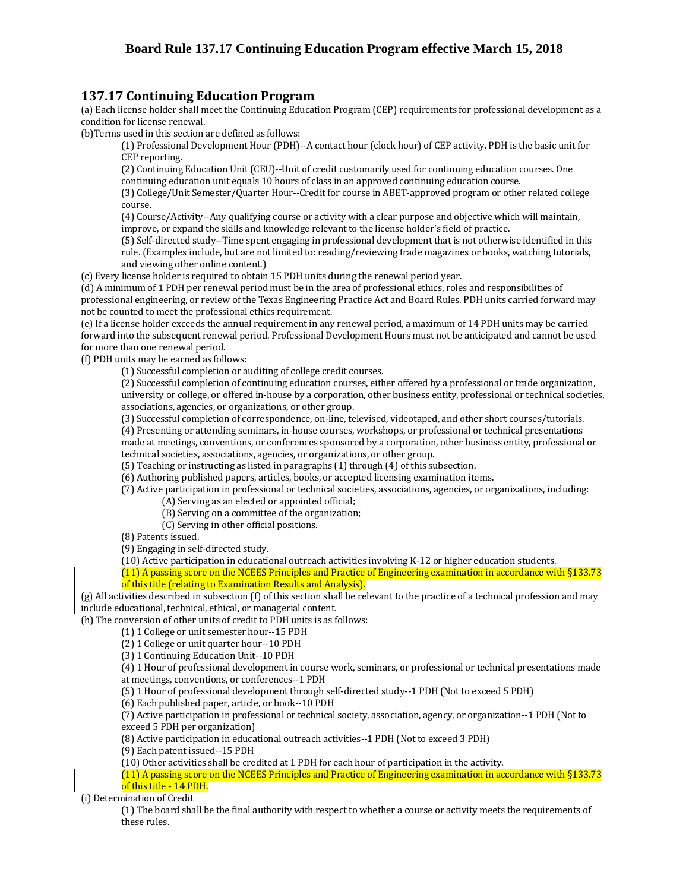## **Board Rule 137.17 Continuing Education Program effective March 15, 2018**

## **137.17 Continuing Education Program**

(a) Each license holder shall meet the Continuing Education Program (CEP) requirements for professional development as a condition for license renewal.

(b)Terms used in this section are defined as follows:

(1) Professional Development Hour (PDH)--A contact hour (clock hour) of CEP activity. PDH is the basic unit for CEP reporting.

(2) Continuing Education Unit (CEU)--Unit of credit customarily used for continuing education courses. One continuing education unit equals 10 hours of class in an approved continuing education course.

(3) College/Unit Semester/Quarter Hour--Credit for course in ABET-approved program or other related college course.

(4) Course/Activity--Any qualifying course or activity with a clear purpose and objective which will maintain, improve, or expand the skills and knowledge relevant to the license holder's field of practice.

(5) Self-directed study--Time spent engaging in professional development that is not otherwise identified in this rule. (Examples include, but are not limited to: reading/reviewing trade magazines or books, watching tutorials, and viewing other online content.)

(c) Every license holder is required to obtain 15 PDH units during the renewal period year.

(d) A minimum of 1 PDH per renewal period must be in the area of professional ethics, roles and responsibilities of professional engineering, or review of the Texas Engineering Practice Act and Board Rules. PDH units carried forward may not be counted to meet the professional ethics requirement.

(e) If a license holder exceeds the annual requirement in any renewal period, a maximum of 14 PDH units may be carried forward into the subsequent renewal period. Professional Development Hours must not be anticipated and cannot be used for more than one renewal period.

(f) PDH units may be earned as follows:

(1) Successful completion or auditing of college credit courses.

(2) Successful completion of continuing education courses, either offered by a professional or trade organization, university or college, or offered in-house by a corporation, other business entity, professional or technical societies, associations, agencies, or organizations, or other group.

(3) Successful completion of correspondence, on-line, televised, videotaped, and other short courses/tutorials.

 (4) Presenting or attending seminars, in-house courses, workshops, or professional or technical presentations made at meetings, conventions, or conferences sponsored by a corporation, other business entity, professional or technical societies, associations, agencies, or organizations, or other group.

(5) Teaching or instructing as listed in paragraphs (1) through (4) of this subsection.

(6) Authoring published papers, articles, books, or accepted licensing examination items.

(7) Active participation in professional or technical societies, associations, agencies, or organizations, including:

(A) Serving as an elected or appointed official;

(B) Serving on a committee of the organization;

(C) Serving in other official positions.

(8) Patents issued.

(9) Engaging in self-directed study.

(10) Active participation in educational outreach activities involving K-12 or higher education students.

(11) A passing score on the NCEES Principles and Practice of Engineering examination in accordance with §133.73 of this title (relating to Examination Results and Analysis).

(g) All activities described in subsection (f) of this section shall be relevant to the practice of a technical profession and may include educational, technical, ethical, or managerial content.

(h) The conversion of other units of credit to PDH units is as follows:

(1) 1 College or unit semester hour--15 PDH

(2) 1 College or unit quarter hour--10 PDH

(3) 1 Continuing Education Unit--10 PDH

(4) 1 Hour of professional development in course work, seminars, or professional or technical presentations made at meetings, conventions, or conferences--1 PDH

(5) 1 Hour of professional development through self-directed study--1 PDH (Not to exceed 5 PDH)

(6) Each published paper, article, or book--10 PDH

 (7) Active participation in professional or technical society, association, agency, or organization--1 PDH (Not to exceed 5 PDH per organization)

(8) Active participation in educational outreach activities--1 PDH (Not to exceed 3 PDH)

(9) Each patent issued--15 PDH

(10) Other activities shall be credited at 1 PDH for each hour of participation in the activity.

(11) A passing score on the NCEES Principles and Practice of Engineering examination in accordance with §133.73 of this title - 14 PDH.

(i) Determination of Credit

(1) The board shall be the final authority with respect to whether a course or activity meets the requirements of these rules.